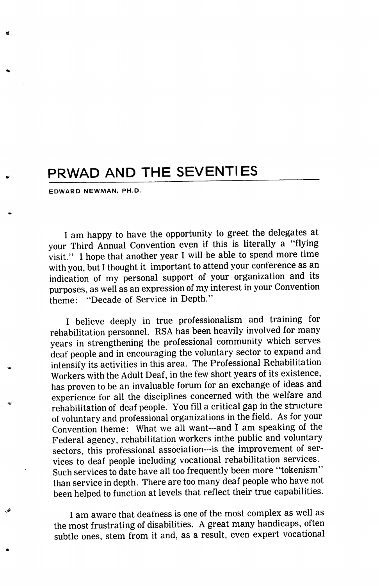## PRWAD AND THE SEVENTIES

EDWARD NEWMAN/ PH.D.

I am happy to have the opportunity to greet the delegates at your Third Annual Convention even if this is literally a "flying visit." I hope that another year I will be able to spend more time with you, but 1 thought it important to attend your conference as an indication of my personal support of your organization and its purposes, as well as an expression of my interest in your Convention theme: "Decade of Service in Depth."

I believe deeply in true professionalism and training for rehabilitation personnel. RSA has been heavily involved for many years in strengthening the professional community which serves deaf people and in encouraging the voluntary sector to expand and intensify its activities in this area. The Professional Rehabilitation Workers with the Adult Deaf, in the few short years of its existence, has proven to be an invaluable forum for an exchange of ideas and experience for all the disciplines concerned with the welfare and rehabilitation of deaf people. You fill a critical gap in the structure of voluntary and professional organizations in the field. As for your Convention theme: What we all want—and 1 am speaking of the Federal agency, rehabilitation workers inthe public and voluntary sectors, this professional association---is the improvement of services to deaf people including vocational rehabilitation services. Such services to date have all too frequently been more "tokenism" than service in depth. There are too many deaf people who have not been helped to function at levels that reflect their true capabilities.

I am aware that deafness is one of the most complex as well as the most frustrating of disabilities. A great many handicaps, often subtle ones, stem from it and, as a result, even expert vocational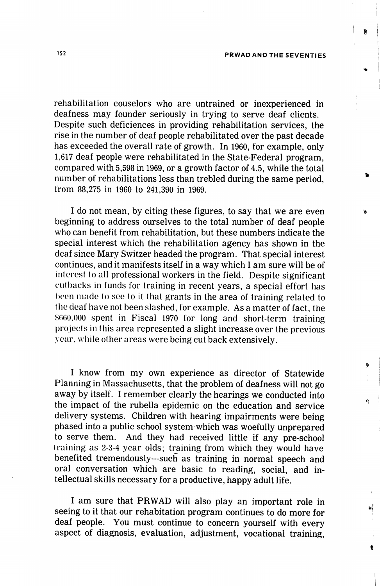rehabilitation couselors who are untrained or inexperienced in deafness may founder seriously in trying to serve deaf clients. Despite such deficiences in providing rehabilitation services, the rise in the number of deaf people rehabilitated over the past decade has exceeded the overall rate of growth. In 1960, for example, only 1,617 deaf people were rehabilitated in the State-Federal program, compared with 5,598 in 1969, or a growth factor of 4.5, while the total number of rehabilitations less than trebled during the same period, from 88,275 in 1960 to 241,390 in 1969.

I do not mean, by citing these figures, to say that we are even beginning to address ourselves to the total number of deaf people who can benefit from rehabilitation, but these numbers indicate the special interest which the rehabilitation agency has shown in the deaf since Mary Switzer headed the program. That special interest continues, and it manifests itself in a way which I am sure will be of interest to all professional workers in the field. Despite significant cutbacks in funds for training in recent years, a special effort has been made to see to it that grants in the area of training related to the deaf have not been slashed, for example. As a matter of fact, the \$660,000 spent in Fiscal 1970 for long and short-term training projects in this area represented a slight increase over the previous year, while other areas were being cut back extensively.

I know from my own experience as director of Statewide Planning in Massachusetts, that the problem of deafness will not go away by itself. I remember clearly the hearings we conducted into the impact of the rubella epidemic on the education and service delivery systems. Children with hearing impairments were being phased into a public school system which was woefully unprepared to serve them. And they had received little if any pre-school training as 2-3-4 year olds; training from which they would have benefited tremendously—such as training in normal speech and oral conversation which are basic to reading, social, and in tellectual skills necessary for a productive, happy adult life.

1 am sure that PRWAD will also play an important role in seeing to it that our rehabitation program continues to do more for deaf people. You must continue to concern yourself with every aspect of diagnosis, evaluation, adjustment, vocational training. ä

Þ

á